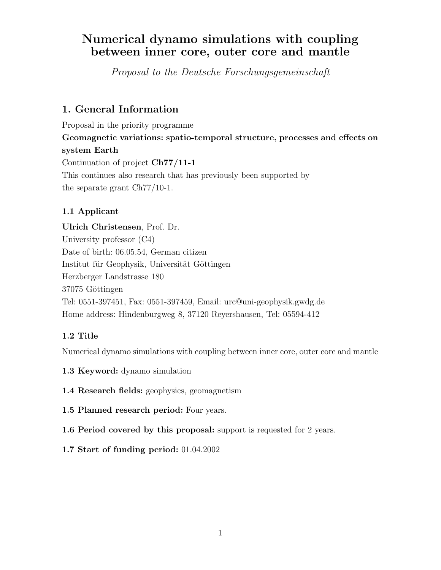# Numerical dynamo simulations with coupling between inner core, outer core and mantle

Proposal to the Deutsche Forschungsgemeinschaft

# 1. General Information

Proposal in the priority programme Geomagnetic variations: spatio-temporal structure, processes and effects on system Earth Continuation of project Ch77/11-1 This continues also research that has previously been supported by the separate grant Ch77/10-1.

# 1.1 Applicant

Ulrich Christensen, Prof. Dr. University professor (C4) Date of birth: 06.05.54, German citizen Institut für Geophysik, Universität Göttingen Herzberger Landstrasse 180 37075 Göttingen Tel: 0551-397451, Fax: 0551-397459, Email: urc@uni-geophysik.gwdg.de Home address: Hindenburgweg 8, 37120 Reyershausen, Tel: 05594-412

# 1.2 Title

Numerical dynamo simulations with coupling between inner core, outer core and mantle

- 1.3 Keyword: dynamo simulation
- 1.4 Research fields: geophysics, geomagnetism
- 1.5 Planned research period: Four years.
- 1.6 Period covered by this proposal: support is requested for 2 years.
- 1.7 Start of funding period: 01.04.2002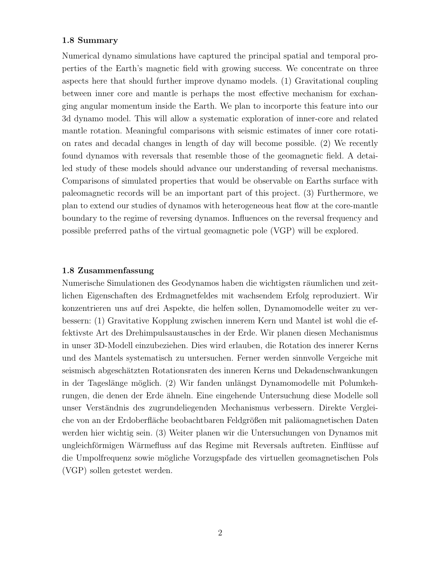#### 1.8 Summary

Numerical dynamo simulations have captured the principal spatial and temporal properties of the Earth's magnetic field with growing success. We concentrate on three aspects here that should further improve dynamo models. (1) Gravitational coupling between inner core and mantle is perhaps the most effective mechanism for exchanging angular momentum inside the Earth. We plan to incorporte this feature into our 3d dynamo model. This will allow a systematic exploration of inner-core and related mantle rotation. Meaningful comparisons with seismic estimates of inner core rotation rates and decadal changes in length of day will become possible. (2) We recently found dynamos with reversals that resemble those of the geomagnetic field. A detailed study of these models should advance our understanding of reversal mechanisms. Comparisons of simulated properties that would be observable on Earths surface with paleomagnetic records will be an important part of this project. (3) Furthermore, we plan to extend our studies of dynamos with heterogeneous heat flow at the core-mantle boundary to the regime of reversing dynamos. Influences on the reversal frequency and possible preferred paths of the virtual geomagnetic pole (VGP) will be explored.

#### 1.8 Zusammenfassung

Numerische Simulationen des Geodynamos haben die wichtigsten räumlichen und zeitlichen Eigenschaften des Erdmagnetfeldes mit wachsendem Erfolg reproduziert. Wir konzentrieren uns auf drei Aspekte, die helfen sollen, Dynamomodelle weiter zu verbessern: (1) Gravitative Kopplung zwischen innerem Kern und Mantel ist wohl die effektivste Art des Drehimpulsaustausches in der Erde. Wir planen diesen Mechanismus in unser 3D-Modell einzubeziehen. Dies wird erlauben, die Rotation des innerer Kerns und des Mantels systematisch zu untersuchen. Ferner werden sinnvolle Vergeiche mit seismisch abgeschätzten Rotationsraten des inneren Kerns und Dekadenschwankungen in der Tageslänge möglich. (2) Wir fanden unlängst Dynamomodelle mit Polumkehrungen, die denen der Erde ähneln. Eine eingehende Untersuchung diese Modelle soll unser Verständnis des zugrundeliegenden Mechanismus verbessern. Direkte Vergleiche von an der Erdoberfläche beobachtbaren Feldgrößen mit paläomagnetischen Daten werden hier wichtig sein. (3) Weiter planen wir die Untersuchungen von Dynamos mit ungleichförmigen Wärmefluss auf das Regime mit Reversals auftreten. Einflüsse auf die Umpolfrequenz sowie mögliche Vorzugspfade des virtuellen geomagnetischen Pols (VGP) sollen getestet werden.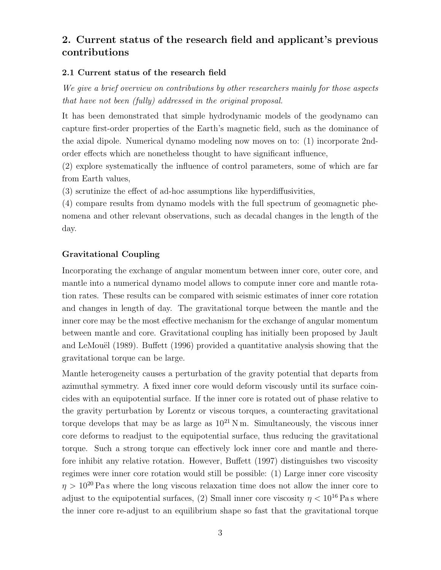# 2. Current status of the research field and applicant's previous contributions

#### 2.1 Current status of the research field

We give a brief overview on contributions by other researchers mainly for those aspects that have not been (fully) addressed in the original proposal.

It has been demonstrated that simple hydrodynamic models of the geodynamo can capture first-order properties of the Earth's magnetic field, such as the dominance of the axial dipole. Numerical dynamo modeling now moves on to: (1) incorporate 2ndorder effects which are nonetheless thought to have significant influence,

(2) explore systematically the influence of control parameters, some of which are far from Earth values,

(3) scrutinize the effect of ad-hoc assumptions like hyperdiffusivities,

(4) compare results from dynamo models with the full spectrum of geomagnetic phenomena and other relevant observations, such as decadal changes in the length of the day.

#### Gravitational Coupling

Incorporating the exchange of angular momentum between inner core, outer core, and mantle into a numerical dynamo model allows to compute inner core and mantle rotation rates. These results can be compared with seismic estimates of inner core rotation and changes in length of day. The gravitational torque between the mantle and the inner core may be the most effective mechanism for the exchange of angular momentum between mantle and core. Gravitational coupling has initially been proposed by Jault and LeMouël  $(1989)$ . Buffett  $(1996)$  provided a quantitative analysis showing that the gravitational torque can be large.

Mantle heterogeneity causes a perturbation of the gravity potential that departs from azimuthal symmetry. A fixed inner core would deform viscously until its surface coincides with an equipotential surface. If the inner core is rotated out of phase relative to the gravity perturbation by Lorentz or viscous torques, a counteracting gravitational torque develops that may be as large as  $10^{21}$  N m. Simultaneously, the viscous inner core deforms to readjust to the equipotential surface, thus reducing the gravitational torque. Such a strong torque can effectively lock inner core and mantle and therefore inhibit any relative rotation. However, Buffett (1997) distinguishes two viscosity regimes were inner core rotation would still be possible: (1) Large inner core viscosity  $\eta > 10^{20}$  Pa s where the long viscous relaxation time does not allow the inner core to adjust to the equipotential surfaces, (2) Small inner core viscosity  $\eta < 10^{16}$  Pa s where the inner core re-adjust to an equilibrium shape so fast that the gravitational torque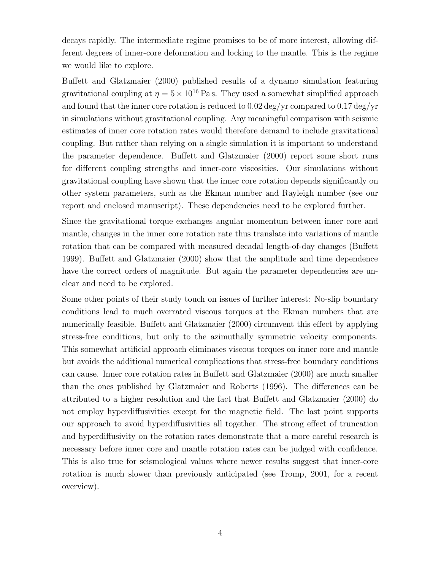decays rapidly. The intermediate regime promises to be of more interest, allowing different degrees of inner-core deformation and locking to the mantle. This is the regime we would like to explore.

Buffett and Glatzmaier (2000) published results of a dynamo simulation featuring gravitational coupling at  $\eta = 5 \times 10^{16}$  Pa s. They used a somewhat simplified approach and found that the inner core rotation is reduced to 0.02 deg/yr compared to 0.17 deg/yr in simulations without gravitational coupling. Any meaningful comparison with seismic estimates of inner core rotation rates would therefore demand to include gravitational coupling. But rather than relying on a single simulation it is important to understand the parameter dependence. Buffett and Glatzmaier (2000) report some short runs for different coupling strengths and inner-core viscosities. Our simulations without gravitational coupling have shown that the inner core rotation depends significantly on other system parameters, such as the Ekman number and Rayleigh number (see our report and enclosed manuscript). These dependencies need to be explored further.

Since the gravitational torque exchanges angular momentum between inner core and mantle, changes in the inner core rotation rate thus translate into variations of mantle rotation that can be compared with measured decadal length-of-day changes (Buffett 1999). Buffett and Glatzmaier (2000) show that the amplitude and time dependence have the correct orders of magnitude. But again the parameter dependencies are unclear and need to be explored.

Some other points of their study touch on issues of further interest: No-slip boundary conditions lead to much overrated viscous torques at the Ekman numbers that are numerically feasible. Buffett and Glatzmaier (2000) circumvent this effect by applying stress-free conditions, but only to the azimuthally symmetric velocity components. This somewhat artificial approach eliminates viscous torques on inner core and mantle but avoids the additional numerical complications that stress-free boundary conditions can cause. Inner core rotation rates in Buffett and Glatzmaier (2000) are much smaller than the ones published by Glatzmaier and Roberts (1996). The differences can be attributed to a higher resolution and the fact that Buffett and Glatzmaier (2000) do not employ hyperdiffusivities except for the magnetic field. The last point supports our approach to avoid hyperdiffusivities all together. The strong effect of truncation and hyperdiffusivity on the rotation rates demonstrate that a more careful research is necessary before inner core and mantle rotation rates can be judged with confidence. This is also true for seismological values where newer results suggest that inner-core rotation is much slower than previously anticipated (see Tromp, 2001, for a recent overview).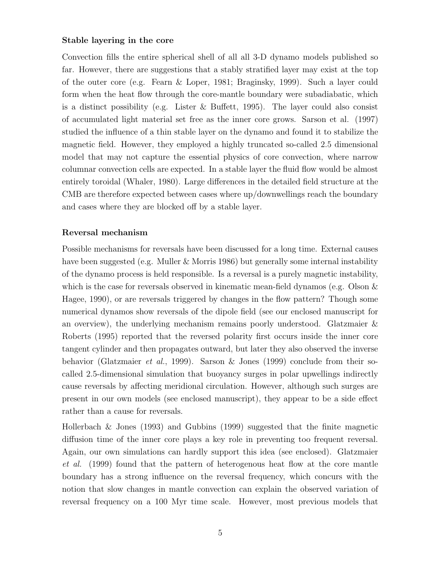#### Stable layering in the core

Convection fills the entire spherical shell of all all 3-D dynamo models published so far. However, there are suggestions that a stably stratified layer may exist at the top of the outer core (e.g. Fearn & Loper, 1981; Braginsky, 1999). Such a layer could form when the heat flow through the core-mantle boundary were subadiabatic, which is a distinct possibility (e.g. Lister  $\&$  Buffett, 1995). The layer could also consist of accumulated light material set free as the inner core grows. Sarson et al. (1997) studied the influence of a thin stable layer on the dynamo and found it to stabilize the magnetic field. However, they employed a highly truncated so-called 2.5 dimensional model that may not capture the essential physics of core convection, where narrow columnar convection cells are expected. In a stable layer the fluid flow would be almost entirely toroidal (Whaler, 1980). Large differences in the detailed field structure at the CMB are therefore expected between cases where up/downwellings reach the boundary and cases where they are blocked off by a stable layer.

#### Reversal mechanism

Possible mechanisms for reversals have been discussed for a long time. External causes have been suggested (e.g. Muller & Morris 1986) but generally some internal instability of the dynamo process is held responsible. Is a reversal is a purely magnetic instability, which is the case for reversals observed in kinematic mean-field dynamos (e.g. Olson  $\&$ Hagee, 1990), or are reversals triggered by changes in the flow pattern? Though some numerical dynamos show reversals of the dipole field (see our enclosed manuscript for an overview), the underlying mechanism remains poorly understood. Glatzmaier & Roberts (1995) reported that the reversed polarity first occurs inside the inner core tangent cylinder and then propagates outward, but later they also observed the inverse behavior (Glatzmaier *et al.*, 1999). Sarson & Jones (1999) conclude from their socalled 2.5-dimensional simulation that buoyancy surges in polar upwellings indirectly cause reversals by affecting meridional circulation. However, although such surges are present in our own models (see enclosed manuscript), they appear to be a side effect rather than a cause for reversals.

Hollerbach & Jones (1993) and Gubbins (1999) suggested that the finite magnetic diffusion time of the inner core plays a key role in preventing too frequent reversal. Again, our own simulations can hardly support this idea (see enclosed). Glatzmaier et al. (1999) found that the pattern of heterogenous heat flow at the core mantle boundary has a strong influence on the reversal frequency, which concurs with the notion that slow changes in mantle convection can explain the observed variation of reversal frequency on a 100 Myr time scale. However, most previous models that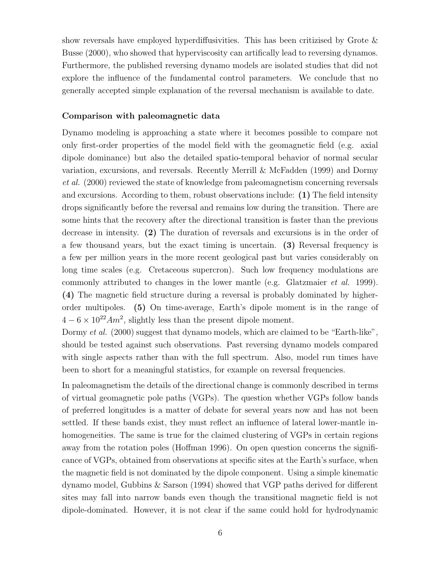show reversals have employed hyperdiffusivities. This has been critizised by Grote  $\&$ Busse (2000), who showed that hyperviscosity can artifically lead to reversing dynamos. Furthermore, the published reversing dynamo models are isolated studies that did not explore the influence of the fundamental control parameters. We conclude that no generally accepted simple explanation of the reversal mechanism is available to date.

#### Comparison with paleomagnetic data

Dynamo modeling is approaching a state where it becomes possible to compare not only first-order properties of the model field with the geomagnetic field (e.g. axial dipole dominance) but also the detailed spatio-temporal behavior of normal secular variation, excursions, and reversals. Recently Merrill & McFadden (1999) and Dormy et al. (2000) reviewed the state of knowledge from paleomagnetism concerning reversals and excursions. According to them, robust observations include: (1) The field intensity drops significantly before the reversal and remains low during the transition. There are some hints that the recovery after the directional transition is faster than the previous decrease in intensity. (2) The duration of reversals and excursions is in the order of a few thousand years, but the exact timing is uncertain. (3) Reversal frequency is a few per million years in the more recent geological past but varies considerably on long time scales (e.g. Cretaceous supercron). Such low frequency modulations are commonly attributed to changes in the lower mantle (e.g. Glatzmaier *et al.* 1999). (4) The magnetic field structure during a reversal is probably dominated by higherorder multipoles. (5) On time-average, Earth's dipole moment is in the range of  $4-6 \times 10^{22} A m^2$ , slightly less than the present dipole moment.

Dormy et al. (2000) suggest that dynamo models, which are claimed to be "Earth-like", should be tested against such observations. Past reversing dynamo models compared with single aspects rather than with the full spectrum. Also, model run times have been to short for a meaningful statistics, for example on reversal frequencies.

In paleomagnetism the details of the directional change is commonly described in terms of virtual geomagnetic pole paths (VGPs). The question whether VGPs follow bands of preferred longitudes is a matter of debate for several years now and has not been settled. If these bands exist, they must reflect an influence of lateral lower-mantle inhomogeneities. The same is true for the claimed clustering of VGPs in certain regions away from the rotation poles (Hoffman 1996). On open question concerns the significance of VGPs, obtained from observations at specific sites at the Earth's surface, when the magnetic field is not dominated by the dipole component. Using a simple kinematic dynamo model, Gubbins & Sarson (1994) showed that VGP paths derived for different sites may fall into narrow bands even though the transitional magnetic field is not dipole-dominated. However, it is not clear if the same could hold for hydrodynamic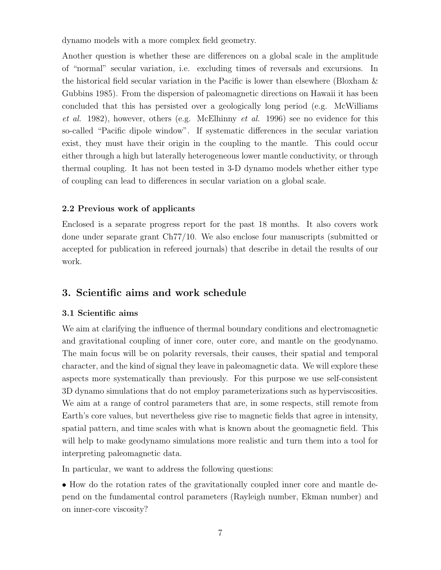dynamo models with a more complex field geometry.

Another question is whether these are differences on a global scale in the amplitude of "normal" secular variation, i.e. excluding times of reversals and excursions. In the historical field secular variation in the Pacific is lower than elsewhere (Bloxham & Gubbins 1985). From the dispersion of paleomagnetic directions on Hawaii it has been concluded that this has persisted over a geologically long period (e.g. McWilliams et al. 1982), however, others (e.g. McElhinny et al. 1996) see no evidence for this so-called "Pacific dipole window". If systematic differences in the secular variation exist, they must have their origin in the coupling to the mantle. This could occur either through a high but laterally heterogeneous lower mantle conductivity, or through thermal coupling. It has not been tested in 3-D dynamo models whether either type of coupling can lead to differences in secular variation on a global scale.

### 2.2 Previous work of applicants

Enclosed is a separate progress report for the past 18 months. It also covers work done under separate grant Ch77/10. We also enclose four manuscripts (submitted or accepted for publication in refereed journals) that describe in detail the results of our work.

# 3. Scientific aims and work schedule

### 3.1 Scientific aims

We aim at clarifying the influence of thermal boundary conditions and electromagnetic and gravitational coupling of inner core, outer core, and mantle on the geodynamo. The main focus will be on polarity reversals, their causes, their spatial and temporal character, and the kind of signal they leave in paleomagnetic data. We will explore these aspects more systematically than previously. For this purpose we use self-consistent 3D dynamo simulations that do not employ parameterizations such as hyperviscosities. We aim at a range of control parameters that are, in some respects, still remote from Earth's core values, but nevertheless give rise to magnetic fields that agree in intensity, spatial pattern, and time scales with what is known about the geomagnetic field. This will help to make geodynamo simulations more realistic and turn them into a tool for interpreting paleomagnetic data.

In particular, we want to address the following questions:

• How do the rotation rates of the gravitationally coupled inner core and mantle depend on the fundamental control parameters (Rayleigh number, Ekman number) and on inner-core viscosity?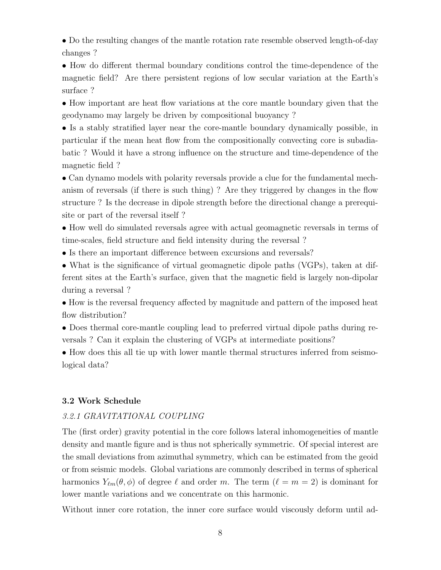• Do the resulting changes of the mantle rotation rate resemble observed length-of-day changes ?

• How do different thermal boundary conditions control the time-dependence of the magnetic field? Are there persistent regions of low secular variation at the Earth's surface ?

• How important are heat flow variations at the core mantle boundary given that the geodynamo may largely be driven by compositional buoyancy ?

• Is a stably stratified layer near the core-mantle boundary dynamically possible, in particular if the mean heat flow from the compositionally convecting core is subadiabatic ? Would it have a strong influence on the structure and time-dependence of the magnetic field ?

• Can dynamo models with polarity reversals provide a clue for the fundamental mechanism of reversals (if there is such thing) ? Are they triggered by changes in the flow structure ? Is the decrease in dipole strength before the directional change a prerequisite or part of the reversal itself ?

• How well do simulated reversals agree with actual geomagnetic reversals in terms of time-scales, field structure and field intensity during the reversal ?

• Is there an important difference between excursions and reversals?

• What is the significance of virtual geomagnetic dipole paths (VGPs), taken at different sites at the Earth's surface, given that the magnetic field is largely non-dipolar during a reversal ?

• How is the reversal frequency affected by magnitude and pattern of the imposed heat flow distribution?

• Does thermal core-mantle coupling lead to preferred virtual dipole paths during reversals ? Can it explain the clustering of VGPs at intermediate positions?

• How does this all tie up with lower mantle thermal structures inferred from seismological data?

#### 3.2 Work Schedule

#### 3.2.1 GRAVITATIONAL COUPLING

The (first order) gravity potential in the core follows lateral inhomogeneities of mantle density and mantle figure and is thus not spherically symmetric. Of special interest are the small deviations from azimuthal symmetry, which can be estimated from the geoid or from seismic models. Global variations are commonly described in terms of spherical harmonics  $Y_{\ell m}(\theta, \phi)$  of degree  $\ell$  and order m. The term  $(\ell = m = 2)$  is dominant for lower mantle variations and we concentrate on this harmonic.

Without inner core rotation, the inner core surface would viscously deform until ad-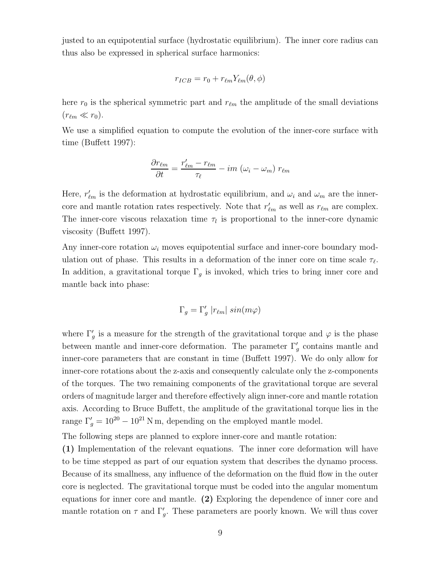justed to an equipotential surface (hydrostatic equilibrium). The inner core radius can thus also be expressed in spherical surface harmonics:

$$
r_{ICB} = r_0 + r_{\ell m} Y_{\ell m}(\theta, \phi)
$$

here  $r_0$  is the spherical symmetric part and  $r_{\ell m}$  the amplitude of the small deviations  $(r_{\ell m} \ll r_0).$ 

We use a simplified equation to compute the evolution of the inner-core surface with time (Buffett 1997):

$$
\frac{\partial r_{\ell m}}{\partial t} = \frac{r'_{\ell m} - r_{\ell m}}{\tau_{\ell}} - im \left(\omega_i - \omega_m\right) r_{\ell m}
$$

Here,  $r'_{\ell m}$  is the deformation at hydrostatic equilibrium, and  $\omega_i$  and  $\omega_m$  are the innercore and mantle rotation rates respectively. Note that  $r'_{\ell m}$  as well as  $r_{\ell m}$  are complex. The inner-core viscous relaxation time  $\tau_l$  is proportional to the inner-core dynamic viscosity (Buffett 1997).

Any inner-core rotation  $\omega_i$  moves equipotential surface and inner-core boundary modulation out of phase. This results in a deformation of the inner core on time scale  $\tau_{\ell}$ . In addition, a gravitational torque  $\Gamma_g$  is invoked, which tries to bring inner core and mantle back into phase:

$$
\Gamma_g = \Gamma'_g |r_{\ell m}| \sin(m\varphi)
$$

where  $\Gamma'$  $g'$  is a measure for the strength of the gravitational torque and  $\varphi$  is the phase between mantle and inner-core deformation. The parameter  $\Gamma'$ g contains mantle and inner-core parameters that are constant in time (Buffett 1997). We do only allow for inner-core rotations about the z-axis and consequently calculate only the z-components of the torques. The two remaining components of the gravitational torque are several orders of magnitude larger and therefore effectively align inner-core and mantle rotation axis. According to Bruce Buffett, the amplitude of the gravitational torque lies in the range  $\Gamma'_g = 10^{20} - 10^{21}$  N m, depending on the employed mantle model.

The following steps are planned to explore inner-core and mantle rotation:

(1) Implementation of the relevant equations. The inner core deformation will have to be time stepped as part of our equation system that describes the dynamo process. Because of its smallness, any influence of the deformation on the fluid flow in the outer core is neglected. The gravitational torque must be coded into the angular momentum equations for inner core and mantle. (2) Exploring the dependence of inner core and mantle rotation on  $\tau$  and  $\Gamma'$  $'_{g}$ . These parameters are poorly known. We will thus cover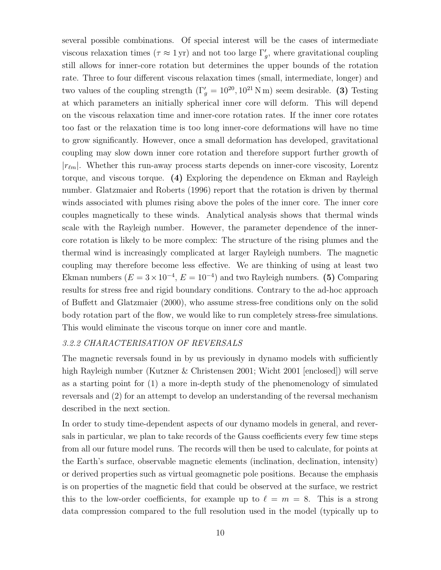several possible combinations. Of special interest will be the cases of intermediate viscous relaxation times ( $\tau \approx 1 \text{ yr}$ ) and not too large  $\Gamma'$  $'_{g}$ , where gravitational coupling still allows for inner-core rotation but determines the upper bounds of the rotation rate. Three to four different viscous relaxation times (small, intermediate, longer) and two values of the coupling strength  $(\Gamma_g' = 10^{20}, 10^{21} \text{ N m})$  seem desirable. (3) Testing at which parameters an initially spherical inner core will deform. This will depend on the viscous relaxation time and inner-core rotation rates. If the inner core rotates too fast or the relaxation time is too long inner-core deformations will have no time to grow significantly. However, once a small deformation has developed, gravitational coupling may slow down inner core rotation and therefore support further growth of  $|r_{\ell m}|$ . Whether this run-away process starts depends on inner-core viscosity, Lorentz torque, and viscous torque. (4) Exploring the dependence on Ekman and Rayleigh number. Glatzmaier and Roberts (1996) report that the rotation is driven by thermal winds associated with plumes rising above the poles of the inner core. The inner core couples magnetically to these winds. Analytical analysis shows that thermal winds scale with the Rayleigh number. However, the parameter dependence of the innercore rotation is likely to be more complex: The structure of the rising plumes and the thermal wind is increasingly complicated at larger Rayleigh numbers. The magnetic coupling may therefore become less effective. We are thinking of using at least two Ekman numbers  $(E = 3 \times 10^{-4}, E = 10^{-4})$  and two Rayleigh numbers. (5) Comparing results for stress free and rigid boundary conditions. Contrary to the ad-hoc approach of Buffett and Glatzmaier (2000), who assume stress-free conditions only on the solid body rotation part of the flow, we would like to run completely stress-free simulations. This would eliminate the viscous torque on inner core and mantle.

#### 3.2.2 CHARACTERISATION OF REVERSALS

The magnetic reversals found in by us previously in dynamo models with sufficiently high Rayleigh number (Kutzner & Christensen 2001; Wicht 2001 [enclosed]) will serve as a starting point for (1) a more in-depth study of the phenomenology of simulated reversals and (2) for an attempt to develop an understanding of the reversal mechanism described in the next section.

In order to study time-dependent aspects of our dynamo models in general, and reversals in particular, we plan to take records of the Gauss coefficients every few time steps from all our future model runs. The records will then be used to calculate, for points at the Earth's surface, observable magnetic elements (inclination, declination, intensity) or derived properties such as virtual geomagnetic pole positions. Because the emphasis is on properties of the magnetic field that could be observed at the surface, we restrict this to the low-order coefficients, for example up to  $\ell = m = 8$ . This is a strong data compression compared to the full resolution used in the model (typically up to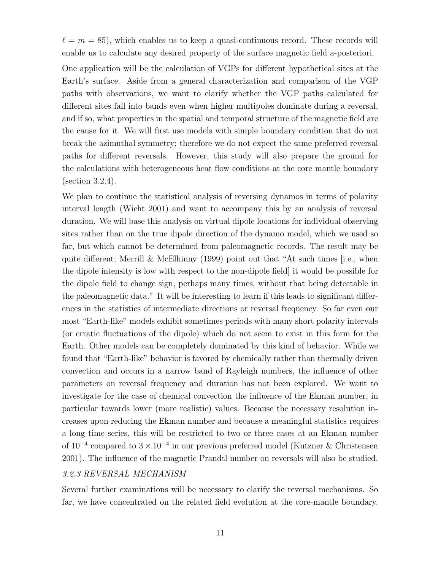$\ell = m = 85$ , which enables us to keep a quasi-continuous record. These records will enable us to calculate any desired property of the surface magnetic field a-posteriori.

One application will be the calculation of VGPs for different hypothetical sites at the Earth's surface. Aside from a general characterization and comparison of the VGP paths with observations, we want to clarify whether the VGP paths calculated for different sites fall into bands even when higher multipoles dominate during a reversal, and if so, what properties in the spatial and temporal structure of the magnetic field are the cause for it. We will first use models with simple boundary condition that do not break the azimuthal symmetry; therefore we do not expect the same preferred reversal paths for different reversals. However, this study will also prepare the ground for the calculations with heterogeneous heat flow conditions at the core mantle boundary (section 3.2.4).

We plan to continue the statistical analysis of reversing dynamos in terms of polarity interval length (Wicht 2001) and want to accompany this by an analysis of reversal duration. We will base this analysis on virtual dipole locations for individual observing sites rather than on the true dipole direction of the dynamo model, which we used so far, but which cannot be determined from paleomagnetic records. The result may be quite different; Merrill  $\&$  McElhinny (1999) point out that "At such times [i.e., when the dipole intensity is low with respect to the non-dipole field] it would be possible for the dipole field to change sign, perhaps many times, without that being detectable in the paleomagnetic data." It will be interesting to learn if this leads to significant differences in the statistics of intermediate directions or reversal frequency. So far even our most "Earth-like" models exhibit sometimes periods with many short polarity intervals (or erratic fluctuations of the dipole) which do not seem to exist in this form for the Earth. Other models can be completely dominated by this kind of behavior. While we found that "Earth-like" behavior is favored by chemically rather than thermally driven convection and occurs in a narrow band of Rayleigh numbers, the influence of other parameters on reversal frequency and duration has not been explored. We want to investigate for the case of chemical convection the influence of the Ekman number, in particular towards lower (more realistic) values. Because the necessary resolution increases upon reducing the Ekman number and because a meaningful statistics requires a long time series, this will be restricted to two or three cases at an Ekman number of 10<sup>-4</sup> compared to  $3 \times 10^{-4}$  in our previous preferred model (Kutzner & Christensen 2001). The influence of the magnetic Prandtl number on reversals will also be studied.

#### 3.2.3 REVERSAL MECHANISM

Several further examinations will be necessary to clarify the reversal mechanisms. So far, we have concentrated on the related field evolution at the core-mantle boundary.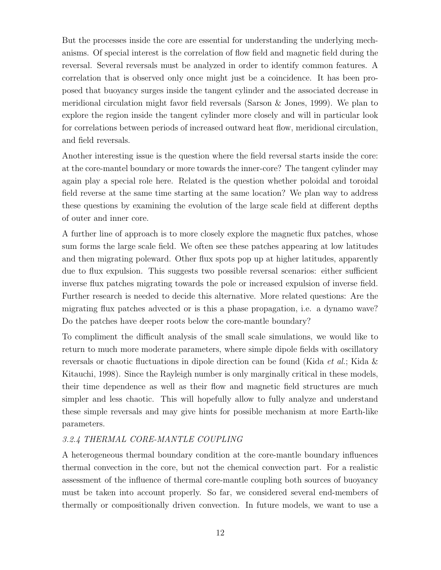But the processes inside the core are essential for understanding the underlying mechanisms. Of special interest is the correlation of flow field and magnetic field during the reversal. Several reversals must be analyzed in order to identify common features. A correlation that is observed only once might just be a coincidence. It has been proposed that buoyancy surges inside the tangent cylinder and the associated decrease in meridional circulation might favor field reversals (Sarson & Jones, 1999). We plan to explore the region inside the tangent cylinder more closely and will in particular look for correlations between periods of increased outward heat flow, meridional circulation, and field reversals.

Another interesting issue is the question where the field reversal starts inside the core: at the core-mantel boundary or more towards the inner-core? The tangent cylinder may again play a special role here. Related is the question whether poloidal and toroidal field reverse at the same time starting at the same location? We plan way to address these questions by examining the evolution of the large scale field at different depths of outer and inner core.

A further line of approach is to more closely explore the magnetic flux patches, whose sum forms the large scale field. We often see these patches appearing at low latitudes and then migrating poleward. Other flux spots pop up at higher latitudes, apparently due to flux expulsion. This suggests two possible reversal scenarios: either sufficient inverse flux patches migrating towards the pole or increased expulsion of inverse field. Further research is needed to decide this alternative. More related questions: Are the migrating flux patches advected or is this a phase propagation, i.e. a dynamo wave? Do the patches have deeper roots below the core-mantle boundary?

To compliment the difficult analysis of the small scale simulations, we would like to return to much more moderate parameters, where simple dipole fields with oscillatory reversals or chaotic fluctuations in dipole direction can be found (Kida et al.; Kida & Kitauchi, 1998). Since the Rayleigh number is only marginally critical in these models, their time dependence as well as their flow and magnetic field structures are much simpler and less chaotic. This will hopefully allow to fully analyze and understand these simple reversals and may give hints for possible mechanism at more Earth-like parameters.

### 3.2.4 THERMAL CORE-MANTLE COUPLING

A heterogeneous thermal boundary condition at the core-mantle boundary influences thermal convection in the core, but not the chemical convection part. For a realistic assessment of the influence of thermal core-mantle coupling both sources of buoyancy must be taken into account properly. So far, we considered several end-members of thermally or compositionally driven convection. In future models, we want to use a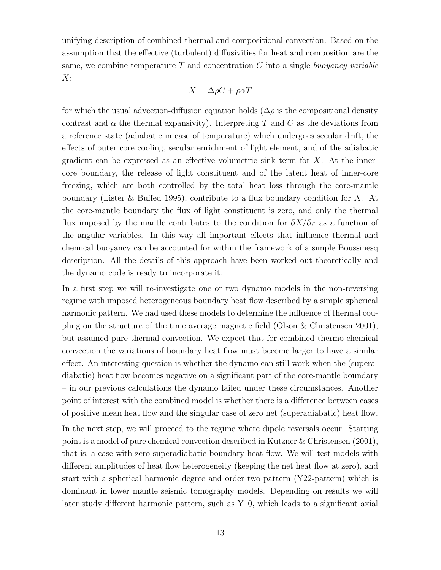unifying description of combined thermal and compositional convection. Based on the assumption that the effective (turbulent) diffusivities for heat and composition are the same, we combine temperature  $T$  and concentration  $C$  into a single buoyancy variable  $X$ :

$$
X = \Delta \rho C + \rho \alpha T
$$

for which the usual advection-diffusion equation holds ( $\Delta \rho$  is the compositional density contrast and  $\alpha$  the thermal expansivity). Interpreting T and C as the deviations from a reference state (adiabatic in case of temperature) which undergoes secular drift, the effects of outer core cooling, secular enrichment of light element, and of the adiabatic gradient can be expressed as an effective volumetric sink term for  $X$ . At the innercore boundary, the release of light constituent and of the latent heat of inner-core freezing, which are both controlled by the total heat loss through the core-mantle boundary (Lister & Buffed 1995), contribute to a flux boundary condition for  $X$ . At the core-mantle boundary the flux of light constituent is zero, and only the thermal flux imposed by the mantle contributes to the condition for  $\partial X/\partial r$  as a function of the angular variables. In this way all important effects that influence thermal and chemical buoyancy can be accounted for within the framework of a simple Boussinesq description. All the details of this approach have been worked out theoretically and the dynamo code is ready to incorporate it.

In a first step we will re-investigate one or two dynamo models in the non-reversing regime with imposed heterogeneous boundary heat flow described by a simple spherical harmonic pattern. We had used these models to determine the influence of thermal coupling on the structure of the time average magnetic field (Olson & Christensen 2001), but assumed pure thermal convection. We expect that for combined thermo-chemical convection the variations of boundary heat flow must become larger to have a similar effect. An interesting question is whether the dynamo can still work when the (superadiabatic) heat flow becomes negative on a significant part of the core-mantle boundary – in our previous calculations the dynamo failed under these circumstances. Another point of interest with the combined model is whether there is a difference between cases of positive mean heat flow and the singular case of zero net (superadiabatic) heat flow.

In the next step, we will proceed to the regime where dipole reversals occur. Starting point is a model of pure chemical convection described in Kutzner & Christensen (2001), that is, a case with zero superadiabatic boundary heat flow. We will test models with different amplitudes of heat flow heterogeneity (keeping the net heat flow at zero), and start with a spherical harmonic degree and order two pattern (Y22-pattern) which is dominant in lower mantle seismic tomography models. Depending on results we will later study different harmonic pattern, such as Y10, which leads to a significant axial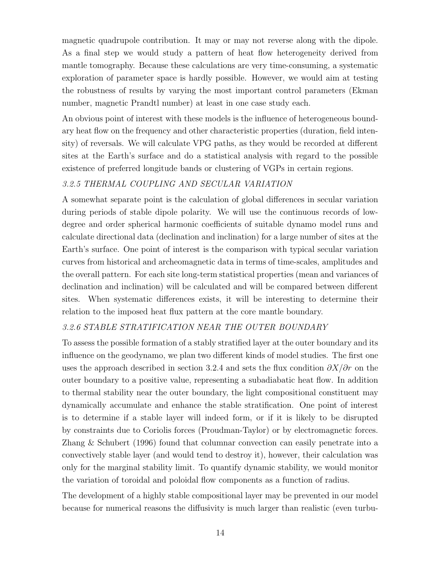magnetic quadrupole contribution. It may or may not reverse along with the dipole. As a final step we would study a pattern of heat flow heterogeneity derived from mantle tomography. Because these calculations are very time-consuming, a systematic exploration of parameter space is hardly possible. However, we would aim at testing the robustness of results by varying the most important control parameters (Ekman number, magnetic Prandtl number) at least in one case study each.

An obvious point of interest with these models is the influence of heterogeneous boundary heat flow on the frequency and other characteristic properties (duration, field intensity) of reversals. We will calculate VPG paths, as they would be recorded at different sites at the Earth's surface and do a statistical analysis with regard to the possible existence of preferred longitude bands or clustering of VGPs in certain regions.

#### 3.2.5 THERMAL COUPLING AND SECULAR VARIATION

A somewhat separate point is the calculation of global differences in secular variation during periods of stable dipole polarity. We will use the continuous records of lowdegree and order spherical harmonic coefficients of suitable dynamo model runs and calculate directional data (declination and inclination) for a large number of sites at the Earth's surface. One point of interest is the comparison with typical secular variation curves from historical and archeomagnetic data in terms of time-scales, amplitudes and the overall pattern. For each site long-term statistical properties (mean and variances of declination and inclination) will be calculated and will be compared between different sites. When systematic differences exists, it will be interesting to determine their relation to the imposed heat flux pattern at the core mantle boundary.

#### 3.2.6 STABLE STRATIFICATION NEAR THE OUTER BOUNDARY

To assess the possible formation of a stably stratified layer at the outer boundary and its influence on the geodynamo, we plan two different kinds of model studies. The first one uses the approach described in section 3.2.4 and sets the flux condition  $\partial X/\partial r$  on the outer boundary to a positive value, representing a subadiabatic heat flow. In addition to thermal stability near the outer boundary, the light compositional constituent may dynamically accumulate and enhance the stable stratification. One point of interest is to determine if a stable layer will indeed form, or if it is likely to be disrupted by constraints due to Coriolis forces (Proudman-Taylor) or by electromagnetic forces. Zhang & Schubert (1996) found that columnar convection can easily penetrate into a convectively stable layer (and would tend to destroy it), however, their calculation was only for the marginal stability limit. To quantify dynamic stability, we would monitor the variation of toroidal and poloidal flow components as a function of radius.

The development of a highly stable compositional layer may be prevented in our model because for numerical reasons the diffusivity is much larger than realistic (even turbu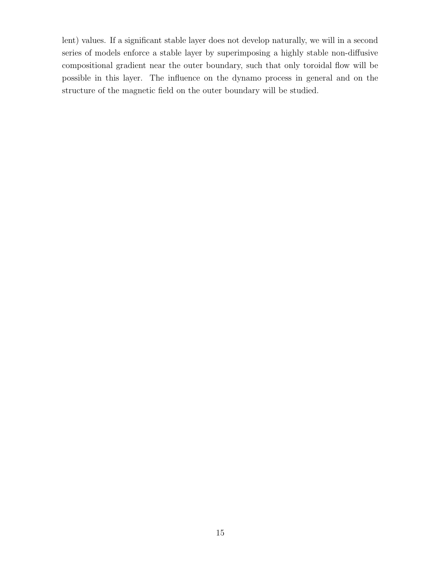lent) values. If a significant stable layer does not develop naturally, we will in a second series of models enforce a stable layer by superimposing a highly stable non-diffusive compositional gradient near the outer boundary, such that only toroidal flow will be possible in this layer. The influence on the dynamo process in general and on the structure of the magnetic field on the outer boundary will be studied.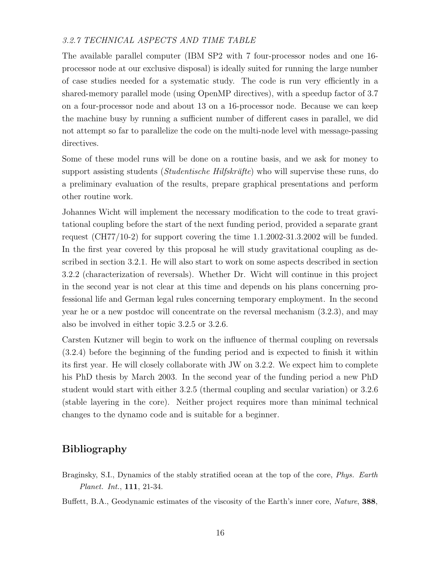#### 3.2.7 TECHNICAL ASPECTS AND TIME TABLE

The available parallel computer (IBM SP2 with 7 four-processor nodes and one 16 processor node at our exclusive disposal) is ideally suited for running the large number of case studies needed for a systematic study. The code is run very efficiently in a shared-memory parallel mode (using OpenMP directives), with a speedup factor of 3.7 on a four-processor node and about 13 on a 16-processor node. Because we can keep the machine busy by running a sufficient number of different cases in parallel, we did not attempt so far to parallelize the code on the multi-node level with message-passing directives.

Some of these model runs will be done on a routine basis, and we ask for money to support assisting students (*Studentische Hilfskräfte*) who will supervise these runs, do a preliminary evaluation of the results, prepare graphical presentations and perform other routine work.

Johannes Wicht will implement the necessary modification to the code to treat gravitational coupling before the start of the next funding period, provided a separate grant request (CH77/10-2) for support covering the time 1.1.2002-31.3.2002 will be funded. In the first year covered by this proposal he will study gravitational coupling as described in section 3.2.1. He will also start to work on some aspects described in section 3.2.2 (characterization of reversals). Whether Dr. Wicht will continue in this project in the second year is not clear at this time and depends on his plans concerning professional life and German legal rules concerning temporary employment. In the second year he or a new postdoc will concentrate on the reversal mechanism (3.2.3), and may also be involved in either topic 3.2.5 or 3.2.6.

Carsten Kutzner will begin to work on the influence of thermal coupling on reversals (3.2.4) before the beginning of the funding period and is expected to finish it within its first year. He will closely collaborate with JW on 3.2.2. We expect him to complete his PhD thesis by March 2003. In the second year of the funding period a new PhD student would start with either 3.2.5 (thermal coupling and secular variation) or 3.2.6 (stable layering in the core). Neither project requires more than minimal technical changes to the dynamo code and is suitable for a beginner.

# Bibliography

- Braginsky, S.I., Dynamics of the stably stratified ocean at the top of the core, Phys. Earth Planet. Int., 111, 21-34.
- Buffett, B.A., Geodynamic estimates of the viscosity of the Earth's inner core, *Nature*, **388**,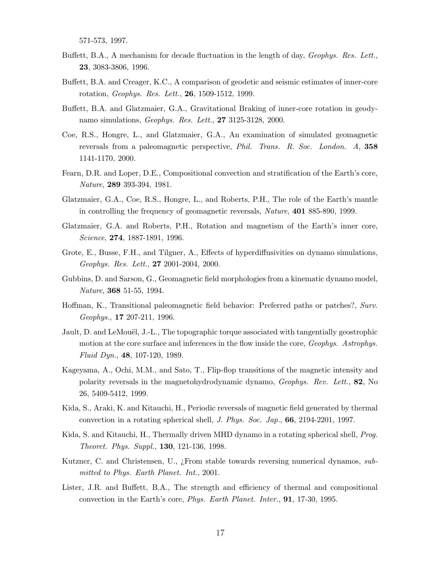571-573, 1997.

- Buffett, B.A., A mechanism for decade fluctuation in the length of day, Geophys. Res. Lett., 23, 3083-3806, 1996.
- Buffett, B.A. and Creager, K.C., A comparison of geodetic and seismic estimates of inner-core rotation, Geophys. Res. Lett., 26, 1509-1512, 1999.
- Buffett, B.A. and Glatzmaier, G.A., Gravitational Braking of inner-core rotation in geodynamo simulations, *Geophys. Res. Lett.*, **27** 3125-3128, 2000.
- Coe, R.S., Hongre, L., and Glatzmaier, G.A., An examination of simulated geomagnetic reversals from a paleomagnetic perspective, *Phil. Trans. R. Soc. London. A*, 358 1141-1170, 2000.
- Fearn, D.R. and Loper, D.E., Compositional convection and stratification of the Earth's core, Nature, 289 393-394, 1981.
- Glatzmaier, G.A., Coe, R.S., Hongre, L., and Roberts, P.H., The role of the Earth's mantle in controlling the frequency of geomagnetic reversals, *Nature*, **401** 885-890, 1999.
- Glatzmaier, G.A. and Roberts, P.H., Rotation and magnetism of the Earth's inner core, Science, 274, 1887-1891, 1996.
- Grote, E., Busse, F.H., and Tilgner, A., Effects of hyperdiffusivities on dynamo simulations, Geophys. Res. Lett., 27 2001-2004, 2000.
- Gubbins, D. and Sarson, G., Geomagnetic field morphologies from a kinematic dynamo model, Nature, 368 51-55, 1994.
- Hoffman, K., Transitional paleomagnetic field behavior: Preferred paths or patches?, Surv. Geophys., 17 207-211, 1996.
- Jault, D. and LeMouël, J.-L., The topographic torque associated with tangentially geostrophic motion at the core surface and inferences in the flow inside the core, *Geophys. Astrophys.* Fluid Dyn., 48, 107-120, 1989.
- Kageyama, A., Ochi, M.M., and Sato, T., Flip-flop transitions of the magnetic intensity and polarity reversals in the magnetohydrodynamic dynamo, Geophys. Rev. Lett., 82, No 26, 5409-5412, 1999.
- Kida, S., Araki, K. and Kitauchi, H., Periodic reversals of magnetic field generated by thermal convection in a rotating spherical shell, J. Phys. Soc. Jap., 66, 2194-2201, 1997.
- Kida, S. and Kitauchi, H., Thermally driven MHD dynamo in a rotating spherical shell, Prog. Theoret. Phys. Suppl., 130, 121-136, 1998.
- Kutzner, C. and Christensen, U., *j* From stable towards reversing numerical dynamos, submitted to Phys. Earth Planet. Int., 2001.
- Lister, J.R. and Buffett, B.A., The strength and efficiency of thermal and compositional convection in the Earth's core, Phys. Earth Planet. Inter., 91, 17-30, 1995.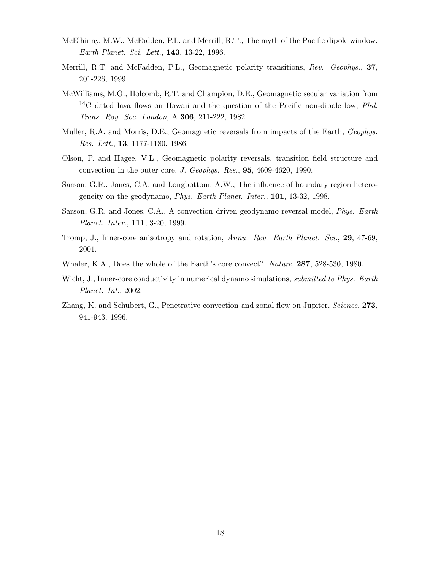- McElhinny, M.W., McFadden, P.L. and Merrill, R.T., The myth of the Pacific dipole window, Earth Planet. Sci. Lett., 143, 13-22, 1996.
- Merrill, R.T. and McFadden, P.L., Geomagnetic polarity transitions, Rev. Geophys., 37, 201-226, 1999.
- McWilliams, M.O., Holcomb, R.T. and Champion, D.E., Geomagnetic secular variation from  $14C$  dated lava flows on Hawaii and the question of the Pacific non-dipole low, *Phil.* Trans. Roy. Soc. London, A 306, 211-222, 1982.
- Muller, R.A. and Morris, D.E., Geomagnetic reversals from impacts of the Earth, Geophys. Res. Lett., 13, 1177-1180, 1986.
- Olson, P. and Hagee, V.L., Geomagnetic polarity reversals, transition field structure and convection in the outer core, J. Geophys. Res., 95, 4609-4620, 1990.
- Sarson, G.R., Jones, C.A. and Longbottom, A.W., The influence of boundary region heterogeneity on the geodynamo, *Phys. Earth Planet. Inter.*, **101**, 13-32, 1998.
- Sarson, G.R. and Jones, C.A., A convection driven geodynamo reversal model, Phys. Earth Planet. Inter., 111, 3-20, 1999.
- Tromp, J., Inner-core anisotropy and rotation, Annu. Rev. Earth Planet. Sci., 29, 47-69, 2001.
- Whaler, K.A., Does the whole of the Earth's core convect?, Nature, 287, 528-530, 1980.
- Wicht, J., Inner-core conductivity in numerical dynamo simulations, *submitted to Phys. Earth* Planet. Int., 2002.
- Zhang, K. and Schubert, G., Penetrative convection and zonal flow on Jupiter, Science, 273, 941-943, 1996.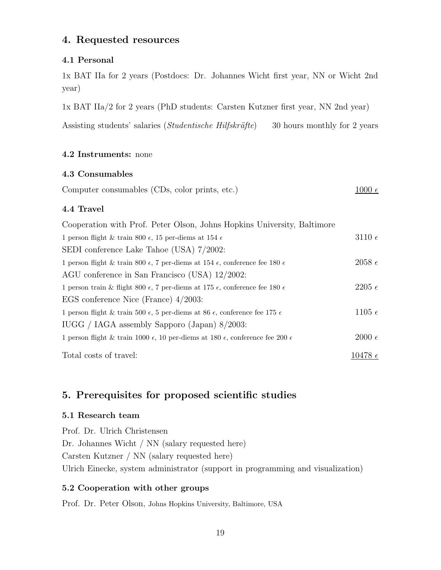# 4. Requested resources

### 4.1 Personal

1x BAT IIa for 2 years (Postdocs: Dr. Johannes Wicht first year, NN or Wicht 2nd year)

1x BAT IIa/2 for 2 years (PhD students: Carsten Kutzner first year, NN 2nd year)

Assisting students' salaries *(Studentische Hilfskräfte)* 30 hours monthly for 2 years

### 4.2 Instruments: none

### 4.3 Consumables

|--|

### 4.4 Travel

| Cooperation with Prof. Peter Olson, Johns Hopkins University, Baltimore                                  |                   |
|----------------------------------------------------------------------------------------------------------|-------------------|
| 1 person flight & train 800 $\epsilon$ , 15 per-diems at 154 $\epsilon$                                  | $3110\ \epsilon$  |
| SEDI conference Lake Tahoe (USA) 7/2002:                                                                 |                   |
| 1 person flight & train 800 $\epsilon$ , 7 per-diems at 154 $\epsilon$ , conference fee 180 $\epsilon$   | $2058 \epsilon$   |
| AGU conference in San Francisco (USA) $12/2002$ :                                                        |                   |
| 1 person train & flight 800 $\epsilon$ , 7 per-diems at 175 $\epsilon$ , conference fee 180 $\epsilon$   | $2205\ \epsilon$  |
| EGS conference Nice (France) $4/2003$ :                                                                  |                   |
| 1 person flight & train 500 $\epsilon$ , 5 per-diems at 86 $\epsilon$ , conference fee 175 $\epsilon$    | 1105 $\epsilon$   |
| IUGG / IAGA assembly Sapporo (Japan) 8/2003:                                                             |                   |
| 1 person flight & train 1000 $\epsilon$ , 10 per-diems at 180 $\epsilon$ , conference fee 200 $\epsilon$ | $2000 \epsilon$   |
|                                                                                                          |                   |
| Total costs of travel:                                                                                   | $10478\ \epsilon$ |

# 5. Prerequisites for proposed scientific studies

### 5.1 Research team

Prof. Dr. Ulrich Christensen Dr. Johannes Wicht / NN (salary requested here) Carsten Kutzner / NN (salary requested here) Ulrich Einecke, system administrator (support in programming and visualization)

### 5.2 Cooperation with other groups

Prof. Dr. Peter Olson, Johns Hopkins University, Baltimore, USA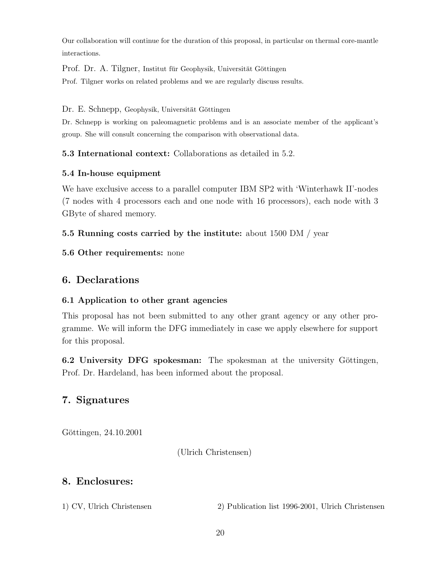Our collaboration will continue for the duration of this proposal, in particular on thermal core-mantle interactions.

Prof. Dr. A. Tilgner, Institut für Geophysik, Universität Göttingen

Prof. Tilgner works on related problems and we are regularly discuss results.

Dr. E. Schnepp, Geophysik, Universität Göttingen

Dr. Schnepp is working on paleomagnetic problems and is an associate member of the applicant's group. She will consult concerning the comparison with observational data.

5.3 International context: Collaborations as detailed in 5.2.

### 5.4 In-house equipment

We have exclusive access to a parallel computer IBM SP2 with 'Winterhawk II'-nodes (7 nodes with 4 processors each and one node with 16 processors), each node with 3 GByte of shared memory.

## 5.5 Running costs carried by the institute: about 1500 DM / year

5.6 Other requirements: none

# 6. Declarations

## 6.1 Application to other grant agencies

This proposal has not been submitted to any other grant agency or any other programme. We will inform the DFG immediately in case we apply elsewhere for support for this proposal.

6.2 University DFG spokesman: The spokesman at the university Göttingen, Prof. Dr. Hardeland, has been informed about the proposal.

# 7. Signatures

Göttingen, 24.10.2001

(Ulrich Christensen)

# 8. Enclosures:

1) CV, Ulrich Christensen 2) Publication list 1996-2001, Ulrich Christensen